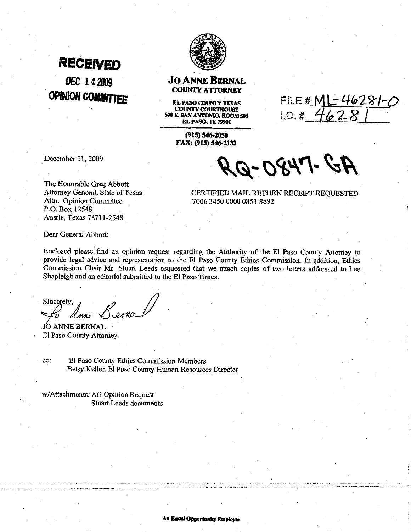## **RECEIVED** DEC 14 2009 **OPINION COMMITTEE**



#### **Jo ANNE BERNAL COUNTY ATTORNEY**

**EL PASO COUNTY TEXAS COUNTY COURTHOUSE ELEMSO COUNTY COURTHOUSE**<br> **SO E. SAN ANTONIO, ROOM 583** 

(915) 546-2050 FAX: (915) 546-2133

December 11,2009

RQ-0847-

FILE # ML - 46281-0

The Honorable Greg Abbott Attorney General, State of Texas Attn: Opinion Committee P.O. Box 12548 Austin, Texas 7871 1-2548

CERTIFIED MAIL RETURN RECEIPT REQUESTED 70063450000008518892

Dear General Abbott:

Enclosed please find an opinion request regarding the Authority of the El Paso County Attorney to provide legal advice and representation to the El Paso County Ethics Commission. In addition, Ethics Commission Chair Mr. Stuart Leeds requested that we attach copies of two letters addressed to Lee Shapleigh and an editorial submitted to the El Paso Times.

Sincerely.

JO ANNE BERNAL El Paso County Attorney

cc: El Paso County Ethics Commission Members Betsy Keller, El Paso County Human Resources Director

w/Attachments: AG Opinion Request Stuart Leeds documents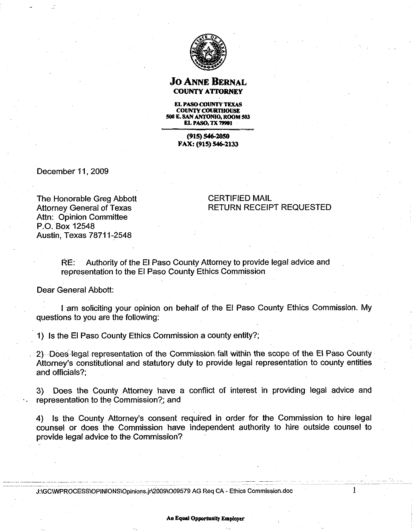

#### **Jo ANNE BERNAL COUNTY ATTORNEY**

**EL PASO COUNTY TEXAS COUNTY COURTHOUSE SMIE.9ANANTONIO,ROOM583 EL PASO. TX 79901** 

> **(915) 546-zoJo FAX: (915) 546-2133**

December 11,2009

### The Honorable Greg Abbott Attorney General of Texas Attn: Opinion Committee P.O. Box 12548 Austin, Texas 7871 1-2548

#### CERTIFIED MAIL RETURN RECEIPT REQUESTED

RE: Authority of the El Paso County Attorney to provide legal advice and representation to the El Paso County Ethics Commission

Dear General Abbott:

I am soliciting your opinion on behalf of the El Paso County Ethics Commission. My questions to you are the following:

1) Is the El Paso County Ethics Commission a county entity?;

2) Does legal representation of the Commission fall within the scope of the El Paso County Attorney's constitutional and statutory duty to provide legal representation to county entities and officials?;

**3)** Does the County Attorney have a conflict of interest in providing legal advice and representation to the Commission?; and

4) Is the County Attorney's consent required in order for the Commission to hire legal counsel or does the Commission have independent authority to hire outside counsel to provide legal advice to the Commission?

J:\GC\WPROCESS\OPINIONS\Opinions.jr\2009\O09579 AG Req CA - Ethics Commission.doc

1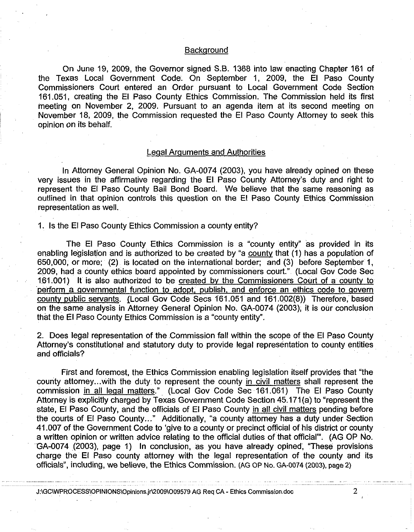#### **Background**

On June 19, 2009, the Governor signed S.B. 1368 into law enacting Chapter 161 of the Texas Local Government Code. On September 1, 2009, the El Paso County Commissioners Court entered an Order pursuant to Local Government Code Section 161.051, creating the El Paso County Ethics Commission. The Commission held its first meeting on November 2, 2009. Pursuant to an agenda item at its second meeting on November 18, 2009, the Commission requested the El Paso County Attorney to seek this opinion on its behalf.

#### Leqal Arquments and Authorities

In Attorney General Opinion No. GA-0074 (2003), you have already opined on these very issues in the affirmative regarding the El Paso County Attorney's duty and right to represent the El Paso County Bail Bond Board. We believe that the same reasoning as outlined in that opinion controls this question on the El Paso County Ethics Commission representation as well.

#### 1. Is the El Paso County Ethics Commission a county entity?

The El Paso County Ethics Commission is a "county entity" as provided in its enabling legislation and is authorized to be created by "a county that (1) has a population of 650,000, or more; (2) is located on the international border; and (3) before September 1, 2009, had a county ethics board appointed by commissioners court." (Local Gov Code Sec 161.001) It is also authorized to be created by the Commissioners Court of a countv to perform a governmental function to adopt, publish, and enforce an ethics code to govern countv public servants. [Local Gov Code Secs 161.051 and 161.002(8)) Therefore, based on the same analysis in Attorney General Opinion No. GA-0074 (2003), it is our conclusion that the El Paso County Ethics Commission is a "county entity".

2. Does legal representation of the Commission fall within the scope of the El Paso County Attorney's constitutional and statutory duty to provide legal representation to county entities and officials?

First and foremost, the Ethics Commission enabling legislation itself provides that "the county attorney... with the duty to represent the county in civil matters shall represent the commission in all legal matters." (Local Gov Code Sec 161.061) The El Paso County Attorney is explicitly charged by Texas Government Code Section 45.171(a) to "represent the state, El Paso County, and the officials of El Paso County in all civil matters pending before the courts of El Paso County..." Additionally, "a county attorney has a duty under Section 41.007 of the Government Code to 'give to a county or precinct official of his district or county a written opinion or written advice relating to the official duties of that official"'. (AG OP No. GA-0074 (2003), page 1) In conclusion, as you have already opined, "These provisions charge the El Paso county attorney with the legal representation of the county and its officials", including, we believe, the Ethics Commission. **(AG** OP NO. **GA-0074 (2003), page 2)** 

J:\GC\WPROCESS\OPINIONS\Opinions.jr\2009\O09579 AG Req CA - Ethics Commission.doc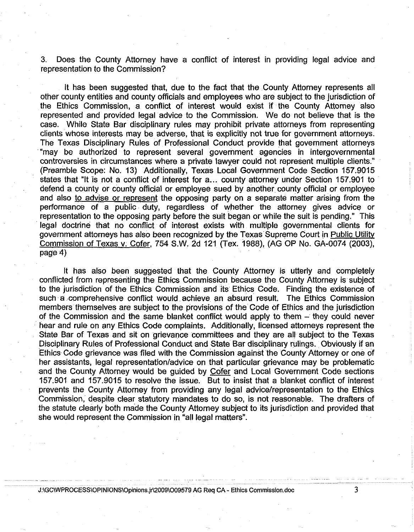3. Does the County Attorney have a conflict of interest in providing legal advice and representation to the Commission?

It has been suggested that, due to the fact that the County Attorney represents all other county entities and county officials and employees who are subject to the jurisdiction of the Ethics Commission, a conflict of interest would exist if the County Attorney also represented and provided legal advice to the Commission. We do not believe that is the case. While State Bar disciplinary rules may prohibit private attorneys from representing clients whose interests may be adverse, that is explicitly not true for government attorneys. The Texas Disciplinary Rules of Professional Conduct provide that government attorneys "may be authorized to represent several government agencies in intergovernmental controversies in circumstances where a private lawyer could not represent multiple clients." (Preamble Scope: No. 13) Additionally, Texas Local Government Code Section 157.9015 states that "It is not a conflict of interest for a... county attorney under Section 157.901 to defend a county or county official or employee sued by another county official or employee and also to advise or represent the opposing party on a separate matter arising from the performance of a public duty, regardless of whether the attorney gives advice or representation to the opposing party before the suit began or while the suit is pending." This legal doctrine that no conflict of interest exists with multiple governmental clients for government attorneys has also been recognized by the Texas Supreme Court in Public Utility Commission of Texas v. Cofer, 754 S.W. 2d 121 (Tex. 1988), (AG OP No. GA-0074 (2003), page 4)

It has also been suggested that the County Attorney is utterly and completely conflicted from representing the Ethics Commission because the County Attorney is subject to the jurisdiction of the Ethics Commission and its Ethics Code. Finding the existence of such a comprehensive conflict would achieve an absurd result. The Ethics Commission members themselves are subject to the provisions of the Code of Ethics and the jurisdiction of the Commission and the same blanket conflict would apply to them - they could never hear and rule on any Ethics Code complaints. Additionally, licensed attorneys represent the State Bar of Texas and sit on grievance committees and they are all subject to the Texas Disciplinary Rules of Professional Conduct and State Bar disciplinary rulings. Obviously if an Ethics Code grievance was filed with the Commission against the County Attorney or one of her assistants, legal representation/advice on that particular grievance may be problematic and the County Attorney would be guided by Cofer and Local Government Code sections 157.901 and 157.9015 to resolve the issue. But to insist that a blanket conflict of interest prevents the County Attorney from providing any legal advicelrepresentation to the Ethics Commission, despite clear statutory mandates to do so, is not reasonable. The drafters of the statute clearly both made the County Attorney subject to its jurisdiction and provided that she would represent the Commission in "all legal matters".

**J:\GC\WPROCESS\OPINIONS\O~I~~~~~.~~\~OO~\OO~~~~ AG Req** CA - Ethics Cornmission.doc

3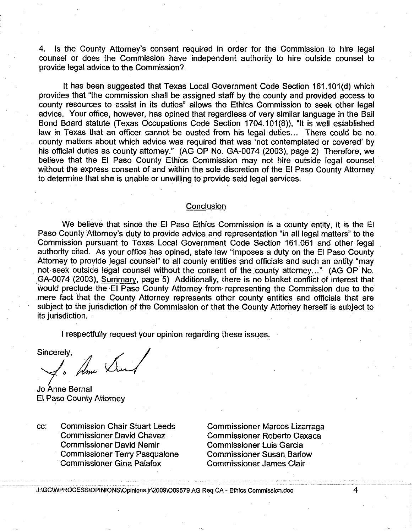4. Is the County Attorney's consent required in order for the Commission to hire legal counsel or does the Commission have independent authority to hire outside counsel to provide legal advice to the Commission?

It has been suggested that Texas Local Government Code Section 161.101(d) which provides that "the commission shall be assigned staff by the county and provided access to county resources to assist in its duties" allows the Ethics Commission to seek other legal advice. Your office, however, has opined that regardless of very similar language in the Bail Bond Board statute (Texas Occupations Code Section 1704.101(8)), "It is well established law in Texas that an officer cannot be ousted from his legal duties... There could be no county matters about which advice was required that was 'not contemplated or covered' by his official duties as county attorney." (AG OP No. GA-0074 (2003), page 2) Therefore, we believe that the El Paso County Ethics Commission may not hire outside legal counsel without the express consent of and within the sole discretion of the El Paso County Attorney to determine that she is unable or unwilling to provide said legal services.

#### **Conclusion**

We believe that since the El Paso Ethics Commission is a county entity, it is the El Paso County Attorney's duty to provide advice and representation "in all legal matters" to the Commission pursuant to Texas Local Government Code Section 161.061 and other legal authority cited. As your office has opined, state law "imposes a duty on the El Paso County Attorney to provide legal counsel" to all county entities and officials and such an entity "may not seek outside legal counsel without the consent of the county attorney..." (AG OP No. GA-0074 (2003), Summary, page 5) Additionally, there is no blanket conflict of interest that would preclude the El Paso County Attorney from representing the Commission due to the mere fact that the County Attorney represents other county entities and officials that are subject to the jurisdiction of the Commission or that the County Attorney herself is subject to its jurisdiction.

I respectfully request your opinion regarding these issues.

Sincerely,

Ame Sur

Jo Anne Bernal El Paso County Attorney

cc: Commission Chair Stuart Leeds Commissioner Marcos Lizarraga Commissioner David Chavez Commissioner Roberto Oaxaca Commissioner David Nemir Commissioner Luis Garcia Commissioner Terry Pasqualone Commissioner Susan Barlow<br>Commissioner Gina Palafox Commissioner James Clair

Commissioner James Clair

J:\GC\WPROCESS\OPINIONS\Opinions.jr\2009\O09579 AG Req CA - Ethics Commission.doc

4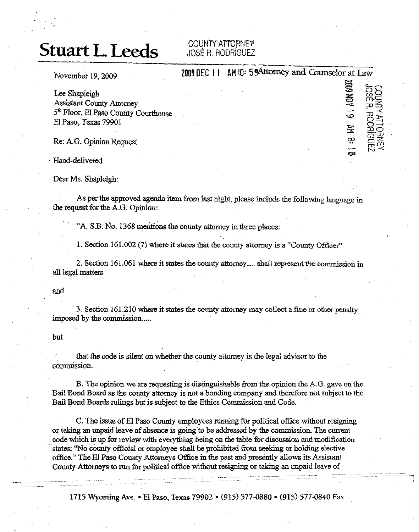## **Stuart L. Leeds** COUNTY ATTORNEY

## JOSÉ R. RODRÍGUEZ

120 AM

**ma** 

<u>515</u><br>연공

**r4** 

November 19, 2009 **2009 2009 2009 2009 2009 2009 2009 2009 2009 2009 2009 2009 2009 2009 2009 2009 2009 2009 2009 2009 2009 2009 2009 2009 2009 2009 2009 2009 2009** Lee Shapleigh *x* **52** Messistant County Attorney - *75* and **75**<br> *5<sup>th</sup>* Floor, El Paso County Courthouse **.a** *75* and *75* and *75* and *75* and *75* and *75* and *75* and *75* and *75* and 75 and 75 and 75 and 75 and 75 and 75 and 75

Re: A.G. Opinion Request  $\frac{25}{32}$  -  $\frac{25}{32}$  -  $\frac{25}{32}$  -  $\frac{25}{32}$  -  $\frac{25}{32}$  -  $\frac{25}{32}$  -  $\frac{25}{32}$  -  $\frac{25}{32}$  -  $\frac{25}{32}$  -  $\frac{25}{32}$  -  $\frac{25}{32}$  -  $\frac{25}{32}$  -  $\frac{25}{32}$  -  $\frac{25}{32}$  -

Hand-delivered

Dear Ms. Shapleigh:

As per **the** approved **agenda** item from last **night,** please include the following language in *the* request for the **A.G.** Opmion:

"A. S.B. No. 1368 mentions the county attorney in three places:

1. Section 161.002 (7) where it **states that** the county attorney is a 'County Office?'

2. Section 161.061 where it states the county attorney.... shall represent the commission in **all** legal matters

and

3. Section 161.210 where it states the **wunty** attomey may collect afine or other penalty imposed by the commission.....

but

that the code is silent on whether the county attorney is the legal advisor to the **commission.** 

B. The opinion we are requesting is distinguishable **&om the** opinion the A.G. gave on the BailBond Board as the county attomey is not a bonding company and therefore not subject to the Bail Bond Boards rulings but is subject to **the** Ethics Commission and Code.

C. The issue of El **Paso** County employees nrnning for political office without resigning or taking an unpaid leave of absence is going to be addressed by the commission. The current code which **is** up for review **with** everything being on the tabie **fa** discussion and modification states: "No county official or employee **shall** be prohibited **.from seeking** or holding elective office." The El Paso County Attorneys Office in the past and presently allows its Assistant County Attorneys to run for political office without resigning or taking an unpaid leave of

1715 Wyoming Ave. - El Paso, **Texas** 79902 **(915) 577-0880** (915) 577-0840 **Fax**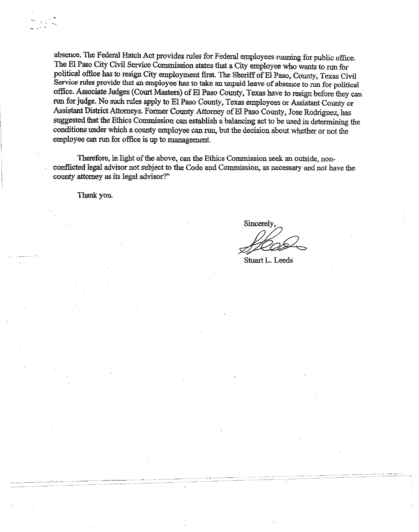absence. The Federal Hatch Act provides rules for Federal employees running for public office. The EI Paso City Civil Service Commission states that a City employee who **wants** to run for political office **has** to resign City employment **first** The Sheriff of El Paso, County, Texas Civil **Service** rules provide that an employee **has** to take an **qaid** leave of absence to nm for **political**  office. Associate Judges (Court Masters) of El Paso County, Texas have to resign before they can run for **judge.** No such **rules** apply to El Paso County, Texas employees or **-Assistant** County or Assistant District Attorneys. Former County Attorney of El Paso County, Jose Rodriguez, has suggested that the **Ethics** Commission can **establish** a balancing act to be **used** in determining the conditions under which a county employee can nm, **but** the decision about whether or not the employee can **run** for office is **up to** management.

Therefore, in light of the above, can *the* Ethics Commission **seek** an outside, nonconflicted legal advisor not subject to **the** Code and Commission, as necessary **and** not have the county attorney **as** its legal advisor?"

Thank you.

Sincerely,

Stuart L. Leeds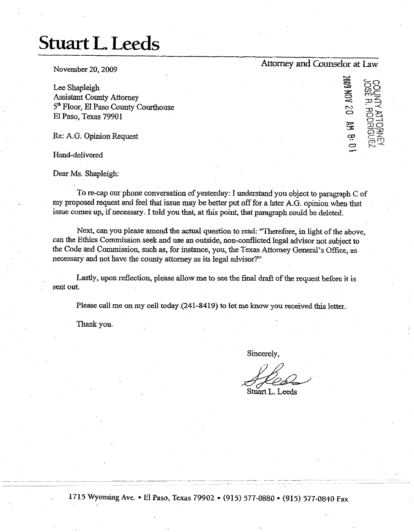## **Stuart L. Leeds**

November **20,2009 Attomy** and **Counselor at** Law

 $\ddot{ }$ 

 $\ddot{\Xi}$ 

Lee Shapleigh  $\Xi$   $\overline{SO}$ Lee Shapleigh<br>Assistant County Attorney 5<sup>th</sup> Floor, El Paso County Courthouse<br>El Paso, Texas 79901  $\Xi$  Paso, Texas 79901

Re: A.G. Opinion Request

Hand-delivered

Dear Ms. Shapleigh:

To re-cap our phone conversation of yesterday: I understand you object to paragraph *C* of my proposed request and feel that issue may be better put off for a later A.G. opinion when that issue comes up, if necessary. I told you that, at this point, that paragraph could be deleted.

Next, can you please amend the actual question to read: "Therefore, in light of the above, can the Ethics Commission seek and use an outside, non-conflicted legal advisor not subject to the Code and Commission, such as, for instance, you, the **Texas** Attorney General's Office, as necessary and not have the county attorney as its legal advisor?"

Lastly, upon reflection, please allow me to see the final **draft** of the request before it is sent out.

Please call me on my cell today (241-8419) to let me know you received this letter.

Thank you.

Sincerely,

Stuart L. Leeds

. **1715** Wyoming **Ave.** \* El Paso, Texas **79902** \* **(915) 577-0880** \* **(915) 577-0840 Fax**